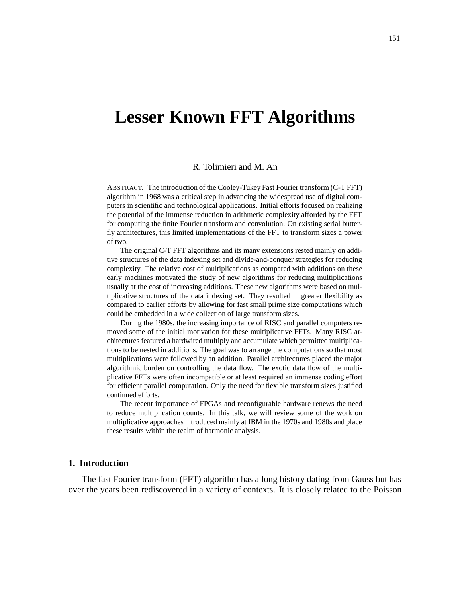# **Lesser Known FFT Algorithms**

### R. Tolimieri and M. An

ABSTRACT. The introduction of the Cooley-Tukey Fast Fourier transform (C-T FFT) algorithm in 1968 was a critical step in advancing the widespread use of digital computers in scientific and technological applications. Initial efforts focused on realizing the potential of the immense reduction in arithmetic complexity afforded by the FFT for computing the finite Fourier transform and convolution. On existing serial butterfly architectures, this limited implementations of the FFT to transform sizes a power of two.

The original C-T FFT algorithms and its many extensions rested mainly on additive structures of the data indexing set and divide-and-conquer strategies for reducing complexity. The relative cost of multiplications as compared with additions on these early machines motivated the study of new algorithms for reducing multiplications usually at the cost of increasing additions. These new algorithms were based on multiplicative structures of the data indexing set. They resulted in greater flexibility as compared to earlier efforts by allowing for fast small prime size computations which could be embedded in a wide collection of large transform sizes.

During the 1980s, the increasing importance of RISC and parallel computers removed some of the initial motivation for these multiplicative FFTs. Many RISC architectures featured a hardwired multiply and accumulate which permitted multiplications to be nested in additions. The goal was to arrange the computations so that most multiplications were followed by an addition. Parallel architectures placed the major algorithmic burden on controlling the data flow. The exotic data flow of the multiplicative FFTs were often incompatible or at least required an immense coding effort for efficient parallel computation. Only the need for flexible transform sizes justified continued efforts.

The recent importance of FPGAs and reconfigurable hardware renews the need to reduce multiplication counts. In this talk, we will review some of the work on multiplicative approaches introduced mainly at IBM in the 1970s and 1980s and place these results within the realm of harmonic analysis.

#### **1. Introduction**

The fast Fourier transform (FFT) algorithm has a long history dating from Gauss but has over the years been rediscovered in a variety of contexts. It is closely related to the Poisson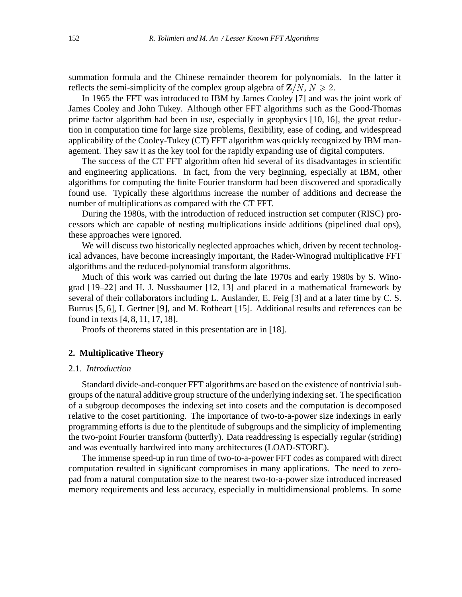summation formula and the Chinese remainder theorem for polynomials. In the latter it reflects the semi-simplicity of the complex group algebra of  $\mathbb{Z}/N$ ,  $N \ge 2$ .

In 1965 the FFT was introduced to IBM by James Cooley [7] and was the joint work of James Cooley and John Tukey. Although other FFT algorithms such as the Good-Thomas prime factor algorithm had been in use, especially in geophysics [10, 16], the great reduction in computation time for large size problems, flexibility, ease of coding, and widespread applicability of the Cooley-Tukey (CT) FFT algorithm was quickly recognized by IBM management. They saw it as the key tool for the rapidly expanding use of digital computers.

The success of the CT FFT algorithm often hid several of its disadvantages in scientific and engineering applications. In fact, from the very beginning, especially at IBM, other algorithms for computing the finite Fourier transform had been discovered and sporadically found use. Typically these algorithms increase the number of additions and decrease the number of multiplications as compared with the CT FFT.

During the 1980s, with the introduction of reduced instruction set computer (RISC) processors which are capable of nesting multiplications inside additions (pipelined dual ops), these approaches were ignored.

We will discuss two historically neglected approaches which, driven by recent technological advances, have become increasingly important, the Rader-Winograd multiplicative FFT algorithms and the reduced-polynomial transform algorithms.

Much of this work was carried out during the late 1970s and early 1980s by S. Winograd [19–22] and H. J. Nussbaumer [12, 13] and placed in a mathematical framework by several of their collaborators including L. Auslander, E. Feig [3] and at a later time by C. S. Burrus [5, 6], I. Gertner [9], and M. Rofheart [15]. Additional results and references can be found in texts [4, 8, 11, 17, 18].

Proofs of theorems stated in this presentation are in [18].

# **2. Multiplicative Theory**

## 2.1. *Introduction*

Standard divide-and-conquer FFT algorithms are based on the existence of nontrivial subgroups of the natural additive group structure of the underlying indexing set. The specification of a subgroup decomposes the indexing set into cosets and the computation is decomposed relative to the coset partitioning. The importance of two-to-a-power size indexings in early programming efforts is due to the plentitude of subgroups and the simplicity of implementing the two-point Fourier transform (butterfly). Data readdressing is especially regular (striding) and was eventually hardwired into many architectures (LOAD-STORE).

The immense speed-up in run time of two-to-a-power FFT codes as compared with direct computation resulted in significant compromises in many applications. The need to zeropad from a natural computation size to the nearest two-to-a-power size introduced increased memory requirements and less accuracy, especially in multidimensional problems. In some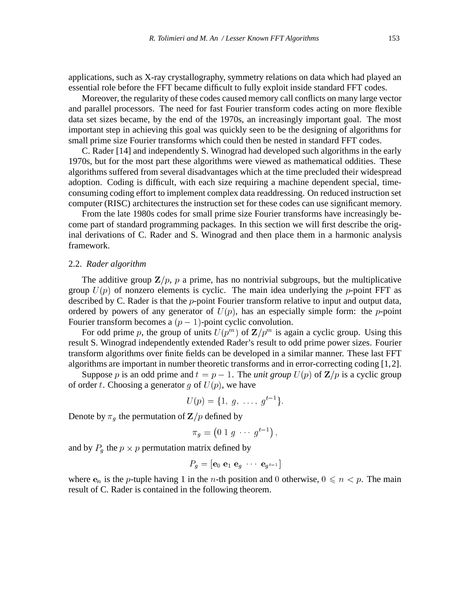applications, such as X-ray crystallography, symmetry relations on data which had played an essential role before the FFT became difficult to fully exploit inside standard FFT codes.

Moreover, the regularity of these codes caused memory call conflicts on many large vector and parallel processors. The need for fast Fourier transform codes acting on more flexible data set sizes became, by the end of the 1970s, an increasingly important goal. The most important step in achieving this goal was quickly seen to be the designing of algorithms for small prime size Fourier transforms which could then be nested in standard FFT codes.

C. Rader [14] and independently S. Winograd had developed such algorithms in the early 1970s, but for the most part these algorithms were viewed as mathematical oddities. These algorithms suffered from several disadvantages which at the time precluded their widespread adoption. Coding is difficult, with each size requiring a machine dependent special, timeconsuming coding effort to implement complex data readdressing. On reduced instruction set computer (RISC) architectures the instruction set for these codes can use significant memory.

From the late 1980s codes for small prime size Fourier transforms have increasingly become part of standard programming packages. In this section we will first describe the original derivations of C. Rader and S. Winograd and then place them in a harmonic analysis framework.

## 2.2. *Rader algorithm*

The additive group  $\mathbf{Z}/p$ , p a prime, has no nontrivial subgroups, but the multiplicative group  $U(p)$  of nonzero elements is cyclic. The main idea underlying the p-point FFT as described by C. Rader is that the p-point Fourier transform relative to input and output data, ordered by powers of any generator of  $U(p)$ , has an especially simple form: the p-point Fourier transform becomes a  $(p - 1)$ -point cyclic convolution.

For odd prime p, the group of units  $U(p^m)$  of  $\mathbb{Z}/p^m$  is again a cyclic group. Using this result S. Winograd independently extended Rader's result to odd prime power sizes. Fourier transform algorithms over finite fields can be developed in a similar manner. These last FFT algorithms are important in number theoretic transforms and in error-correcting coding [1,2].

Suppose p is an odd prime and  $t = p - 1$ . The *unit group*  $U(p)$  of  $\mathbb{Z}/p$  is a cyclic group of order t. Choosing a generator g of  $U(p)$ , we have

$$
U(p) = \{1, g, \ldots, g^{t-1}\}.
$$

Denote by  $\pi_q$  the permutation of  $\mathbf{Z}/p$  defined by

$$
\pi_g=\left(0\,1\ g\ \cdots\ g^{t-1}\right),
$$

and by  $P_g$  the  $p \times p$  permutation matrix defined by

$$
P_g=[\mathbf{e}_0\,\,\mathbf{e}_1\,\,\mathbf{e}_g\,\,\cdots\,\,\mathbf{e}_{g^{t-1}}]
$$

where  $e_n$  is the *p*-tuple having 1 in the *n*-th position and 0 otherwise,  $0 \le n \le p$ . The main result of C. Rader is contained in the following theorem.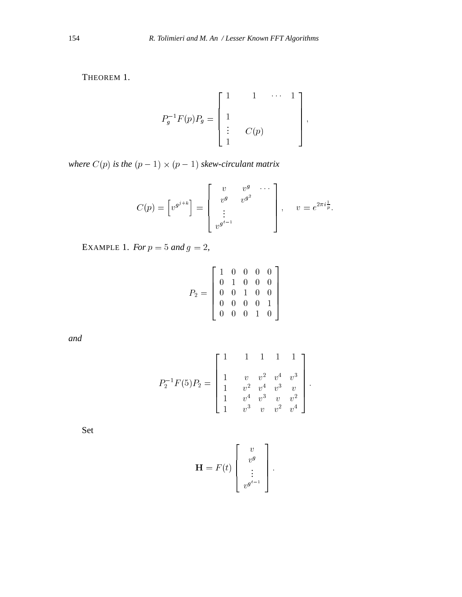THEOREM 1.

$$
P_g^{-1}F(p)P_g = \begin{bmatrix} 1 & 1 & \cdots & 1 \\ 1 & & & \\ \vdots & & C(p) & \\ 1 & & & \end{bmatrix},
$$

where  $C(p)$  is the  $(p-1) \times (p-1)$  skew-circulant matrix

$$
C(p) = \begin{bmatrix} v^{g^{j+k}} \end{bmatrix} = \begin{bmatrix} v & v^g & \cdots \\ v^g & v^{g^2} \\ \vdots & & \\ v^{g^{t-1}} \end{bmatrix}, \quad v = e^{2\pi i \frac{1}{p}}.
$$

EXAMPLE 1. *For*  $p = 5$  *and*  $g = 2$ ,

$$
P_2=\left[\begin{array}{cccccc}1&0&0&0&0\\0&1&0&0&0\\0&0&1&0&0\\0&0&0&0&1\\0&0&0&1&0\end{array}\right]
$$

*and*

$$
P_2^{-1}F(5)P_2 = \begin{bmatrix} 1 & 1 & 1 & 1 & 1 \\ 1 & v & v^2 & v^4 & v^3 \\ 1 & v^2 & v^4 & v^3 & v \\ 1 & v^4 & v^3 & v & v^2 \\ 1 & v^3 & v & v^2 & v^4 \end{bmatrix}.
$$

Set

$$
\mathbf{H} = F(t) \begin{bmatrix} v \\ v^g \\ \vdots \\ v^{g^{t-1}} \end{bmatrix}.
$$

 $\sim$  3  $\sim$  3  $\sim$  3  $\sim$  3  $\sim$  3  $\sim$  3  $\sim$  3  $\sim$  3  $\sim$  3  $\sim$  3  $\sim$  3  $\sim$  3  $\sim$  3  $\sim$  3  $\sim$  3  $\sim$  3  $\sim$  3  $\sim$  3  $\sim$  3  $\sim$  3  $\sim$  3  $\sim$  3  $\sim$  3  $\sim$  3  $\sim$  3  $\sim$  3  $\sim$  3  $\sim$  3  $\sim$  3  $\sim$  3  $\sim$  3  $\sim$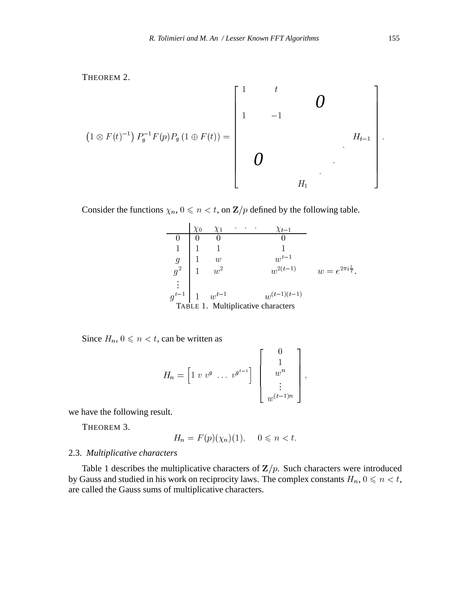THEOREM 2.

1 F (t)1 P 1 g <sup>F</sup> (p)Pg (1 <sup>F</sup> (t)) = <sup>2</sup> <sup>6</sup> <sup>6</sup> <sup>6</sup> <sup>6</sup> <sup>6</sup> <sup>6</sup> <sup>6</sup> <sup>6</sup> <sup>6</sup> <sup>6</sup> <sup>6</sup> <sup>6</sup> <sup>6</sup> <sup>4</sup> *0* Ht1 *0* H1 <sup>7</sup> <sup>7</sup> <sup>7</sup> <sup>7</sup> <sup>7</sup> <sup>7</sup> <sup>7</sup> <sup>7</sup> <sup>7</sup> <sup>7</sup> <sup>7</sup> <sup>7</sup> <sup>7</sup> <sup>5</sup> :

Consider the functions  $\chi_n$ ,  $0 \le n < t$ , on  $\mathbb{Z}/p$  defined by the following table.

| $\chi_0$ | $\chi_1$  | $\chi_{t-1}$ |              |                                |
|----------|-----------|--------------|--------------|--------------------------------|
| 0        | 0         | 0            | 0            |                                |
| 1        | 1         | 1            |              |                                |
| $g$      | 1         | $w$          | $w^{t-1}$    |                                |
| $g^2$    | 1         | $w^2$        | $w^{2(t-1)}$ | $w = e^{2\pi i \frac{1}{t}}$ . |
| $\vdots$ | $g^{t-1}$ | 1            | $w^{t-1}$    | $w^{(t-1)(t-1)}$               |

\nTable 1. Multiplicative characters

and the state of the state of the state of the state of the state of the state of the state of the state of th

Since  $H_n$ ,  $0 \le n < t$ , can be written as

$$
H_n = \begin{bmatrix} 1 & v & v^g & \dots & v^{g^{t-1}} \end{bmatrix} \begin{bmatrix} 0 \\ 1 \\ w^n \\ \vdots \\ w^{(t-1)n} \end{bmatrix},
$$

we have the following result.

THEOREM 3.

$$
H_n = F(p)(\chi_n)(1), \quad 0 \leq n < t.
$$

## 2.3. *Multiplicative characters*

Table 1 describes the multiplicative characters of  $\mathbb{Z}/p$ . Such characters were introduced by Gauss and studied in his work on reciprocity laws. The complex constants  $H_n$ ,  $0 \le n < t$ , are called the Gauss sums of multiplicative characters.

and the second contract of the second contract of the second contract of the second contract of the second con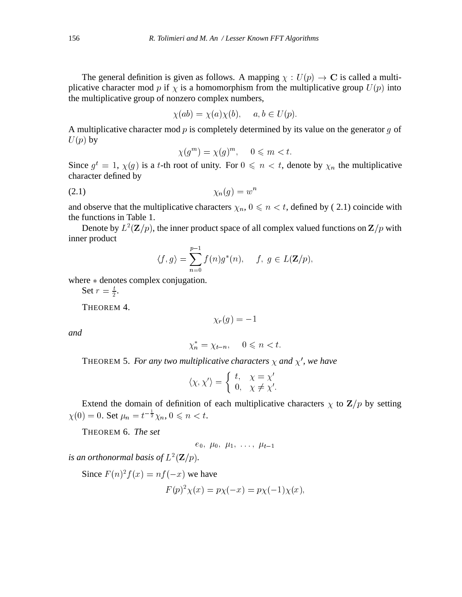The general definition is given as follows. A mapping  $\chi : U(p) \to \mathbb{C}$  is called a multiplicative character mod p if  $\chi$  is a homomorphism from the multiplicative group  $U(p)$  into the multiplicative group of nonzero complex numbers,

$$
\chi(ab) = \chi(a)\chi(b), \quad a, b \in U(p).
$$

A multiplicative character mod  $p$  is completely determined by its value on the generator  $q$  of  $U(p)$  by

$$
\chi(g^m) = \chi(g)^m, \quad 0 \leqslant m < t.
$$

Since  $g^t = 1$ ,  $\chi(g)$  is a t-th root of unity. For  $0 \leq n \leq t$ , denote by  $\chi_n$  the multiplicative character defined by

$$
\chi_n(g) = w^n
$$

and observe that the multiplicative characters  $\chi_n$ ,  $0 \le n \le t$ , defined by (2.1) coincide with the functions in Table 1.

Denote by  $L^2(\mathbf{Z}/p)$ , the inner product space of all complex valued functions on  $\mathbf{Z}/p$  with inner product

$$
\langle f, g \rangle = \sum_{n=0}^{p-1} f(n)g^*(n), \quad f, g \in L(\mathbf{Z}/p),
$$

where  $\ast$  denotes complex conjugation.

Set  $r = \frac{t}{2}$ .

THEOREM 4.

$$
\chi_r(g) = -1
$$

*and*

$$
\chi_n^* = \chi_{t-n}, \quad 0 \leqslant n < t.
$$

THEOREM 5. *For any two multiplicative characters*  $\chi$  and  $\chi'$ , we have

$$
\langle \chi, \chi' \rangle = \begin{cases} t, & \chi = \chi' \\ 0, & \chi \neq \chi'. \end{cases}
$$

Extend the domain of definition of each multiplicative characters  $\chi$  to  $\mathbf{Z}/p$  by setting  $\chi(0) = 0.$  Set  $\mu_n = t^{-\frac{1}{2}} \chi_n, 0 \leq n < t.$ 

THEOREM 6. *The set*

$$
e_0,\;\mu_0,\;\mu_1,\;\ldots,\;\mu_{t-1}
$$

*is an orthonormal basis of*  $L^2(\mathbf{Z}/p)$ *.* 

Since  $F(n)^2 f(x) = nf(-x)$  we have

$$
F(p)^{2}\chi(x) = p\chi(-x) = p\chi(-1)\chi(x),
$$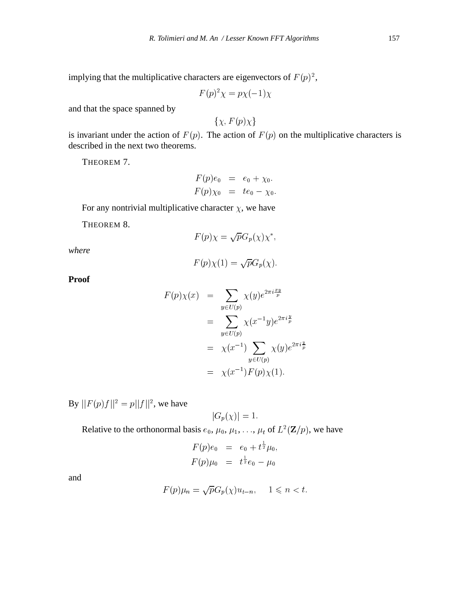implying that the multiplicative characters are eigenvectors of  $F(p)^2$ ,

$$
F(p)^2 \chi = p\chi(-1)\chi
$$

and that the space spanned by

$$
\{\chi,F(p)\chi\}
$$

is invariant under the action of  $F(p)$ . The action of  $F(p)$  on the multiplicative characters is described in the next two theorems.

THEOREM 7.

$$
F(p)e_0 = e_0 + \chi_0.
$$
  

$$
F(p)\chi_0 = te_0 - \chi_0.
$$

For any nontrivial multiplicative character  $\chi$ , we have

THEOREM 8.

$$
F(p)\chi = \sqrt{p}G_p(\chi)\chi^*,
$$

*where*

$$
F(p)\chi(1) = \sqrt{p}G_p(\chi).
$$

**Proof**

$$
F(p)\chi(x) = \sum_{y \in U(p)} \chi(y)e^{2\pi i \frac{xy}{p}}
$$
  
= 
$$
\sum_{y \in U(p)} \chi(x^{-1}y)e^{2\pi i \frac{y}{p}}
$$
  
= 
$$
\chi(x^{-1})\sum_{y \in U(p)} \chi(y)e^{2\pi i \frac{y}{p}}
$$
  
= 
$$
\chi(x^{-1})F(p)\chi(1).
$$

By  $||F(p)f||^2 = p||f||^2$ , we have

$$
|G_p(\chi)| = 1.
$$

Relative to the orthonormal basis  $e_0$ ,  $\mu_0$ ,  $\mu_1$ , ...,  $\mu_t$  of  $L^2(\mathbf{Z}/p)$ , we have

$$
F(p)e_0 = e_0 + t^{\frac{1}{2}}\mu_0,
$$
  

$$
F(p)\mu_0 = t^{\frac{1}{2}}e_0 - \mu_0
$$

and

$$
F(p)\mu_n = \sqrt{p}G_p(\chi)u_{t-n}, \quad 1 \leq n < t.
$$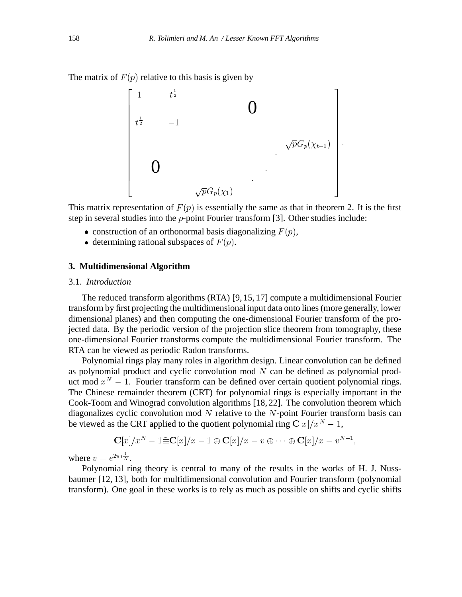The matrix of  $F(p)$  relative to this basis is given by

$$
\begin{bmatrix}\n1 & t^{\frac{1}{2}} & & & \\
& t^{\frac{1}{2}} & -1 & & \\
& & & \sqrt{p}G_p(\chi_{t-1}) \\
& & & & \sqrt{p}G_p(\chi_1)\n\end{bmatrix}.
$$

This matrix representation of  $F(p)$  is essentially the same as that in theorem 2. It is the first step in several studies into the  $p$ -point Fourier transform [3]. Other studies include:

- construction of an orthonormal basis diagonalizing  $F(p)$ ,
- determining rational subspaces of  $F(p)$ .

# **3. Multidimensional Algorithm**

## 3.1. *Introduction*

The reduced transform algorithms (RTA) [9, 15, 17] compute a multidimensional Fourier transform by first projecting the multidimensional input data onto lines (more generally, lower dimensional planes) and then computing the one-dimensional Fourier transform of the projected data. By the periodic version of the projection slice theorem from tomography, these one-dimensional Fourier transforms compute the multidimensional Fourier transform. The RTA can be viewed as periodic Radon transforms.

Polynomial rings play many roles in algorithm design. Linear convolution can be defined as polynomial product and cyclic convolution mod  $N$  can be defined as polynomial product mod  $x^N - 1$ . Fourier transform can be defined over certain quotient polynomial rings. The Chinese remainder theorem (CRT) for polynomial rings is especially important in the Cook-Toom and Winograd convolution algorithms [18, 22]. The convolution theorem which diagonalizes cyclic convolution mod  $N$  relative to the  $N$ -point Fourier transform basis can be viewed as the CRT applied to the quotient polynomial ring  $C[x]/x^N - 1$ ,

$$
\mathbf{C}[x]/x^N - 1 \tilde{\equiv} \mathbf{C}[x]/x - 1 \oplus \mathbf{C}[x]/x - v \oplus \cdots \oplus \mathbf{C}[x]/x - v^{N-1},
$$

where  $v = e^{2\pi i \frac{1}{N}}$ .

Polynomial ring theory is central to many of the results in the works of H. J. Nussbaumer [12, 13], both for multidimensional convolution and Fourier transform (polynomial transform). One goal in these works is to rely as much as possible on shifts and cyclic shifts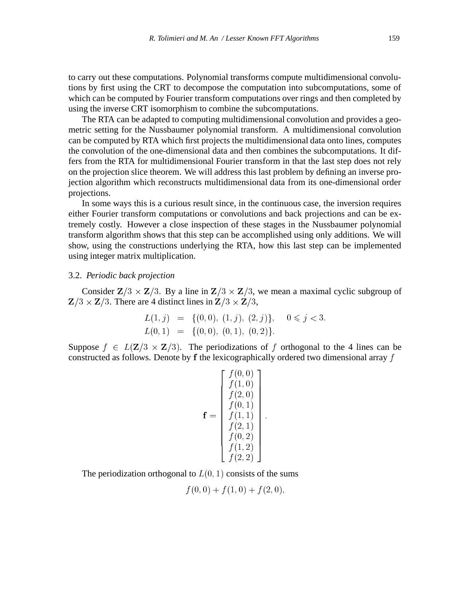to carry out these computations. Polynomial transforms compute multidimensional convolutions by first using the CRT to decompose the computation into subcomputations, some of which can be computed by Fourier transform computations over rings and then completed by using the inverse CRT isomorphism to combine the subcomputations.

The RTA can be adapted to computing multidimensional convolution and provides a geometric setting for the Nussbaumer polynomial transform. A multidimensional convolution can be computed by RTA which first projects the multidimensional data onto lines, computes the convolution of the one-dimensional data and then combines the subcomputations. It differs from the RTA for multidimensional Fourier transform in that the last step does not rely on the projection slice theorem. We will address this last problem by defining an inverse projection algorithm which reconstructs multidimensional data from its one-dimensional order projections.

In some ways this is a curious result since, in the continuous case, the inversion requires either Fourier transform computations or convolutions and back projections and can be extremely costly. However a close inspection of these stages in the Nussbaumer polynomial transform algorithm shows that this step can be accomplished using only additions. We will show, using the constructions underlying the RTA, how this last step can be implemented using integer matrix multiplication.

#### 3.2. *Periodic back projection*

Consider  $\mathbb{Z}/3 \times \mathbb{Z}/3$ . By a line in  $\mathbb{Z}/3 \times \mathbb{Z}/3$ , we mean a maximal cyclic subgroup of  $\mathbb{Z}/3 \times \mathbb{Z}/3$ . There are 4 distinct lines in  $\mathbb{Z}/3 \times \mathbb{Z}/3$ ,

$$
L(1,j) = \{(0,0), (1,j), (2,j)\}, \quad 0 \le j < 3.
$$
\n
$$
L(0,1) = \{(0,0), (0,1), (0,2)\}.
$$

Suppose  $f \in L(\mathbf{Z}/3 \times \mathbf{Z}/3)$ . The periodizations of f orthogonal to the 4 lines can be constructed as follows. Denote by <sup>f</sup> the lexicographically ordered two dimensional array <sup>f</sup>

$$
\mathbf{f} = \begin{bmatrix} f(0,0) \\ f(1,0) \\ f(2,0) \\ f(0,1) \\ f(1,1) \\ f(2,1) \\ f(0,2) \\ f(1,2) \\ f(2,2) \end{bmatrix}.
$$

The periodization orthogonal to  $L(0, 1)$  consists of the sums

$$
f(0,0) + f(1,0) + f(2,0),
$$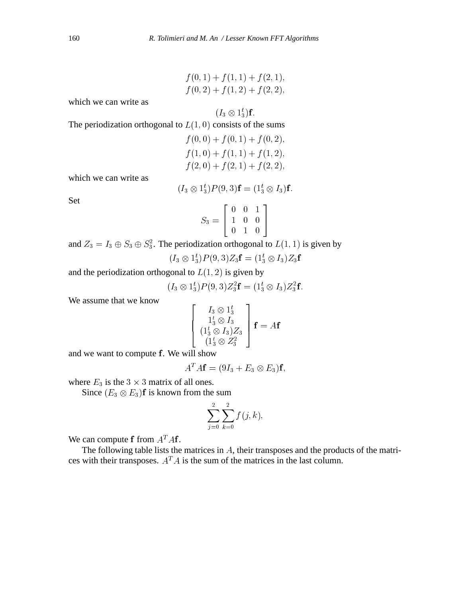$f(0,1) + f(1,1) + f(2,1),$  $f(0,2) + f(1,2) + f(2,2),$ 

which we can write as

 $(I_3 \otimes 1_3^t)$ f.

The periodization orthogonal to  $L(1,0)$  consists of the sums

$$
f(0,0) + f(0,1) + f(0,2),
$$
  
\n
$$
f(1,0) + f(1,1) + f(1,2),
$$
  
\n
$$
f(2,0) + f(2,1) + f(2,2),
$$

which we can write as

$$
(I_3 \otimes 1_3^t)P(9,3)\mathbf{f} = (1_3^t \otimes I_3)\mathbf{f}.
$$

Set

$$
S_3 = \left[ \begin{array}{rrr} 0 & 0 & 1 \\ 1 & 0 & 0 \\ 0 & 1 & 0 \end{array} \right]
$$

and  $Z_3 = I_3 \oplus S_3 \oplus S_3^2$ . The periodization orthogonal to  $L(1,1)$  is given by

$$
(I_3\otimes 1_3^t)P(9,3)Z_3\mathbf{f}=(1_3^t\otimes I_3)Z_3\mathbf{f}
$$

and the periodization orthogonal to  $L(1, 2)$  is given by

$$
(I_3 \otimes 1_3^t)P(9,3)Z_3^2\mathbf{f} = (1_3^t \otimes I_3)Z_3^2\mathbf{f}.
$$

 $\overline{2}$  2  $\overline{2}$  2  $\overline{2}$  2  $\overline{2}$  2  $\overline{2}$  2  $\overline{2}$  2  $\overline{2}$  2  $\overline{2}$  2  $\overline{2}$  2  $\overline{2}$  2  $\overline{2}$  2  $\overline{2}$  2  $\overline{2}$  2  $\overline{2}$  2  $\overline{2}$  2  $\overline{2}$  2  $\overline{2}$  2  $\overline{2}$  2  $\overline{2}$  2  $\overline{2}$  2

We assume that we know

$$
\left[ \begin{array}{c} I_3 \otimes 1_3^t \\ 1_3^t \otimes I_3 \\ (1_3^t \otimes I_3)Z_3 \\ (1_3^t \otimes Z_3^2 \end{array} \right] {\bf f} = A {\bf f}
$$

 $\overline{3}$  3  $\overline{3}$  3  $\overline{3}$  3  $\overline{3}$  3  $\overline{3}$  3  $\overline{3}$  3  $\overline{3}$  3  $\overline{3}$  3  $\overline{3}$  3  $\overline{3}$  3  $\overline{3}$  3  $\overline{3}$  3  $\overline{3}$  3  $\overline{3}$  3  $\overline{3}$  3  $\overline{3}$  3  $\overline{3}$  3  $\overline{3}$  3  $\overline{3}$  3  $\overline{3}$  3

and we want to compute f. We will show

$$
A^T A \mathbf{f} = (9I_3 + E_3 \otimes E_3) \mathbf{f},
$$

where  $E_3$  is the 3  $\times$  3 matrix of all ones.

Since  $(E_3 \otimes E_3)$ f is known from the sum

$$
\sum_{j=0}^{2} \sum_{k=0}^{2} f(j,k),
$$

We can compute f from  $A<sup>T</sup> A f$ .

The following table lists the matrices in  $A$ , their transposes and the products of the matrices with their transposes.  $A<sup>T</sup>A$  is the sum of the matrices in the last column.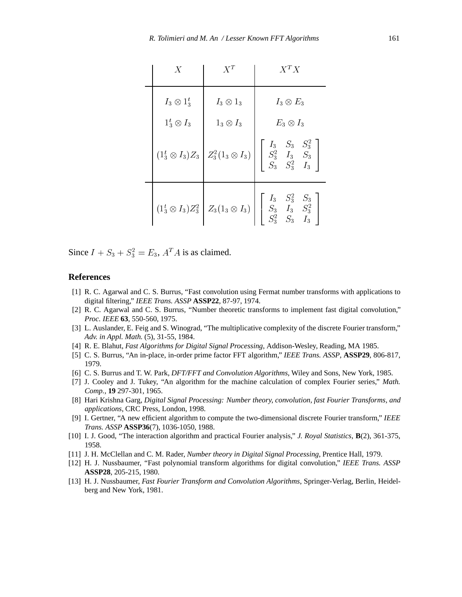| $\boldsymbol{X}$    | $X^T$             | $X^T X$                                                                                                                                                               |
|---------------------|-------------------|-----------------------------------------------------------------------------------------------------------------------------------------------------------------------|
| $I_3\otimes 1_3^t$  | $I_3 \otimes 1_3$ | $I_3 \otimes E_3$                                                                                                                                                     |
| $1_3^t \otimes I_3$ | $1_3\otimes I_3$  | $E_3 \otimes I_3$                                                                                                                                                     |
|                     |                   | $(1_3^t \otimes I_3)Z_3$ $Z_3^2(1_3 \otimes I_3)$ $\begin{bmatrix} I_3 & S_3 & S_3^2 \ S_3^2 & I_3 & S_3 \ S_3 & S_3^2 & I_3 \end{bmatrix}$                           |
|                     |                   | $(1_3^t \otimes I_3)Z_3^2\left[ Z_3(1_3 \otimes I_3) \right] \left[ \begin{array}{ccc} I_3 & S_3^2 & S_3 \ S_3 & I_3 & S_3^2 \ S_3^2 & S_3 & I_3 \end{array} \right]$ |

Since  $I + S_3 + S_3^2 = E_3$ ,  $A^T A$  is as claimed.

#### **References**

- [1] R. C. Agarwal and C. S. Burrus, "Fast convolution using Fermat number transforms with applications to digital filtering," *IEEE Trans. ASSP* **ASSP22**, 87-97, 1974.
- [2] R. C. Agarwal and C. S. Burrus, "Number theoretic transforms to implement fast digital convolution," *Proc. IEEE* **63**, 550-560, 1975.
- [3] L. Auslander, E. Feig and S. Winograd, "The multiplicative complexity of the discrete Fourier transform," *Adv. in Appl. Math.* (5), 31-55, 1984.
- [4] R. E. Blahut, *Fast Algorithms for Digital Signal Processing*, Addison-Wesley, Reading, MA 1985.
- [5] C. S. Burrus, "An in-place, in-order prime factor FFT algorithm," *IEEE Trans. ASSP*, **ASSP29**, 806-817, 1979.
- [6] C. S. Burrus and T. W. Park, *DFT/FFT and Convolution Algorithms*, Wiley and Sons, New York, 1985.
- [7] J. Cooley and J. Tukey, "An algorithm for the machine calculation of complex Fourier series," *Math. Comp.,* **19** 297-301, 1965.
- [8] Hari Krishna Garg, *Digital Signal Processing: Number theory, convolution, fast Fourier Transforms, and applications*, CRC Press, London, 1998.
- [9] I. Gertner, "A new efficient algorithm to compute the two-dimensional discrete Fourier transform," *IEEE Trans. ASSP* **ASSP36**(7), 1036-1050, 1988.
- [10] I. J. Good, "The interaction algorithm and practical Fourier analysis," *J. Royal Statistics*, **B**(2), 361-375, 1958.
- [11] J. H. McClellan and C. M. Rader, *Number theory in Digital Signal Processing*, Prentice Hall, 1979.
- [12] H. J. Nussbaumer, "Fast polynomial transform algorithms for digital convolution," *IEEE Trans. ASSP* **ASSP28**, 205-215, 1980.
- [13] H. J. Nussbaumer, *Fast Fourier Transform and Convolution Algorithms*, Springer-Verlag, Berlin, Heidelberg and New York, 1981.